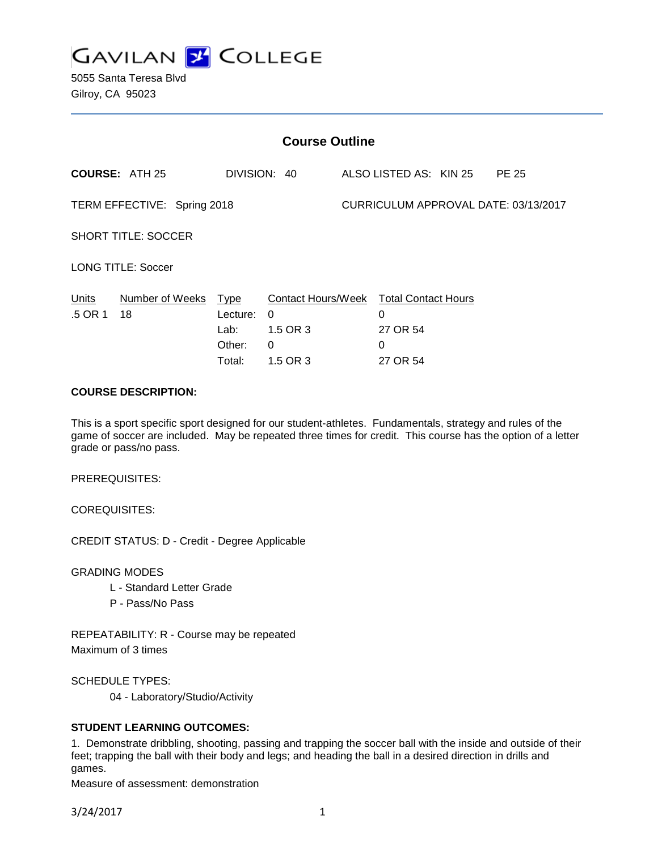

| <b>Course Outline</b>       |                       |                                                     |                                                                                 |  |                                |  |                                      |
|-----------------------------|-----------------------|-----------------------------------------------------|---------------------------------------------------------------------------------|--|--------------------------------|--|--------------------------------------|
|                             | <b>COURSE: ATH 25</b> |                                                     | DIVISION: 40                                                                    |  | ALSO LISTED AS: KIN 25         |  | <b>PE 25</b>                         |
| TERM EFFECTIVE: Spring 2018 |                       |                                                     |                                                                                 |  |                                |  | CURRICULUM APPROVAL DATE: 03/13/2017 |
| <b>SHORT TITLE: SOCCER</b>  |                       |                                                     |                                                                                 |  |                                |  |                                      |
| <b>LONG TITLE: Soccer</b>   |                       |                                                     |                                                                                 |  |                                |  |                                      |
| <u>Units</u><br>.5 OR 1     | Number of Weeks<br>18 | <u>Type</u><br>Lecture:<br>Lab:<br>Other:<br>Total: | Contact Hours/Week Total Contact Hours<br>$\Omega$<br>1.5 OR 3<br>0<br>1.5 OR 3 |  | 0<br>27 OR 54<br>0<br>27 OR 54 |  |                                      |
| CAUDER BECABIBTION.         |                       |                                                     |                                                                                 |  |                                |  |                                      |

#### **COURSE DESCRIPTION:**

This is a sport specific sport designed for our student-athletes. Fundamentals, strategy and rules of the game of soccer are included. May be repeated three times for credit. This course has the option of a letter grade or pass/no pass.

PREREQUISITES:

COREQUISITES:

CREDIT STATUS: D - Credit - Degree Applicable

GRADING MODES

- L Standard Letter Grade
- P Pass/No Pass

REPEATABILITY: R - Course may be repeated Maximum of 3 times

SCHEDULE TYPES:

04 - Laboratory/Studio/Activity

### **STUDENT LEARNING OUTCOMES:**

1. Demonstrate dribbling, shooting, passing and trapping the soccer ball with the inside and outside of their feet; trapping the ball with their body and legs; and heading the ball in a desired direction in drills and games.

Measure of assessment: demonstration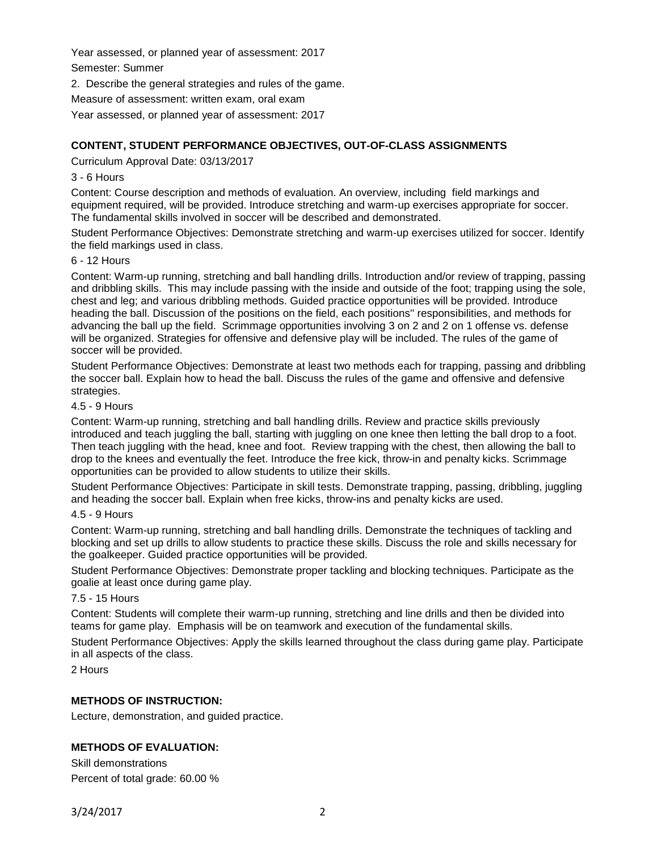Year assessed, or planned year of assessment: 2017

Semester: Summer

2. Describe the general strategies and rules of the game.

Measure of assessment: written exam, oral exam

Year assessed, or planned year of assessment: 2017

# **CONTENT, STUDENT PERFORMANCE OBJECTIVES, OUT-OF-CLASS ASSIGNMENTS**

Curriculum Approval Date: 03/13/2017

### 3 - 6 Hours

Content: Course description and methods of evaluation. An overview, including field markings and equipment required, will be provided. Introduce stretching and warm-up exercises appropriate for soccer. The fundamental skills involved in soccer will be described and demonstrated.

Student Performance Objectives: Demonstrate stretching and warm-up exercises utilized for soccer. Identify the field markings used in class.

### 6 - 12 Hours

Content: Warm-up running, stretching and ball handling drills. Introduction and/or review of trapping, passing and dribbling skills. This may include passing with the inside and outside of the foot; trapping using the sole, chest and leg; and various dribbling methods. Guided practice opportunities will be provided. Introduce heading the ball. Discussion of the positions on the field, each positions'' responsibilities, and methods for advancing the ball up the field. Scrimmage opportunities involving 3 on 2 and 2 on 1 offense vs. defense will be organized. Strategies for offensive and defensive play will be included. The rules of the game of soccer will be provided.

Student Performance Objectives: Demonstrate at least two methods each for trapping, passing and dribbling the soccer ball. Explain how to head the ball. Discuss the rules of the game and offensive and defensive strategies.

### 4.5 - 9 Hours

Content: Warm-up running, stretching and ball handling drills. Review and practice skills previously introduced and teach juggling the ball, starting with juggling on one knee then letting the ball drop to a foot. Then teach juggling with the head, knee and foot. Review trapping with the chest, then allowing the ball to drop to the knees and eventually the feet. Introduce the free kick, throw-in and penalty kicks. Scrimmage opportunities can be provided to allow students to utilize their skills.

Student Performance Objectives: Participate in skill tests. Demonstrate trapping, passing, dribbling, juggling and heading the soccer ball. Explain when free kicks, throw-ins and penalty kicks are used.

### 4.5 - 9 Hours

Content: Warm-up running, stretching and ball handling drills. Demonstrate the techniques of tackling and blocking and set up drills to allow students to practice these skills. Discuss the role and skills necessary for the goalkeeper. Guided practice opportunities will be provided.

Student Performance Objectives: Demonstrate proper tackling and blocking techniques. Participate as the goalie at least once during game play.

## 7.5 - 15 Hours

Content: Students will complete their warm-up running, stretching and line drills and then be divided into teams for game play. Emphasis will be on teamwork and execution of the fundamental skills.

Student Performance Objectives: Apply the skills learned throughout the class during game play. Participate in all aspects of the class.

2 Hours

## **METHODS OF INSTRUCTION:**

Lecture, demonstration, and guided practice.

## **METHODS OF EVALUATION:**

Skill demonstrations Percent of total grade: 60.00 %

3/24/2017 2